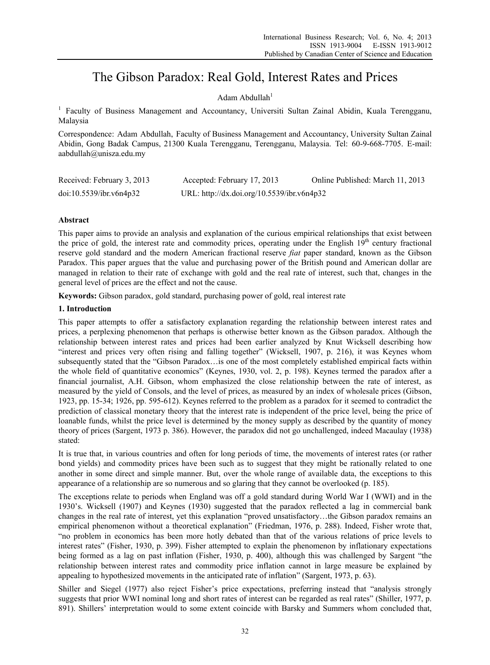# The Gibson Paradox: Real Gold, Interest Rates and Prices

# Adam Abdullah $1$

<sup>1</sup> Faculty of Business Management and Accountancy, Universiti Sultan Zainal Abidin, Kuala Terengganu, Malaysia

Correspondence: Adam Abdullah, Faculty of Business Management and Accountancy, University Sultan Zainal Abidin, Gong Badak Campus, 21300 Kuala Terengganu, Terengganu, Malaysia. Tel: 60-9-668-7705. E-mail: aabdullah@unisza.edu.my

| Received: February 3, 2013 | Accepted: February 17, 2013                | Online Published: March 11, 2013 |
|----------------------------|--------------------------------------------|----------------------------------|
| doi:10.5539/ibr.v6n4p32    | URL: http://dx.doi.org/10.5539/ibr.v6n4p32 |                                  |

## **Abstract**

This paper aims to provide an analysis and explanation of the curious empirical relationships that exist between the price of gold, the interest rate and commodity prices, operating under the English  $19<sup>th</sup>$  century fractional reserve gold standard and the modern American fractional reserve *fiat* paper standard, known as the Gibson Paradox. This paper argues that the value and purchasing power of the British pound and American dollar are managed in relation to their rate of exchange with gold and the real rate of interest, such that, changes in the general level of prices are the effect and not the cause.

**Keywords:** Gibson paradox, gold standard, purchasing power of gold, real interest rate

# **1. Introduction**

This paper attempts to offer a satisfactory explanation regarding the relationship between interest rates and prices, a perplexing phenomenon that perhaps is otherwise better known as the Gibson paradox. Although the relationship between interest rates and prices had been earlier analyzed by Knut Wicksell describing how "interest and prices very often rising and falling together" (Wicksell, 1907, p. 216), it was Keynes whom subsequently stated that the "Gibson Paradox…is one of the most completely established empirical facts within the whole field of quantitative economics" (Keynes, 1930, vol. 2, p. 198). Keynes termed the paradox after a financial journalist, A.H. Gibson, whom emphasized the close relationship between the rate of interest, as measured by the yield of Consols, and the level of prices, as measured by an index of wholesale prices (Gibson, 1923, pp. 15-34; 1926, pp. 595-612). Keynes referred to the problem as a paradox for it seemed to contradict the prediction of classical monetary theory that the interest rate is independent of the price level, being the price of loanable funds, whilst the price level is determined by the money supply as described by the quantity of money theory of prices (Sargent, 1973 p. 386). However, the paradox did not go unchallenged, indeed Macaulay (1938) stated:

It is true that, in various countries and often for long periods of time, the movements of interest rates (or rather bond yields) and commodity prices have been such as to suggest that they might be rationally related to one another in some direct and simple manner. But, over the whole range of available data, the exceptions to this appearance of a relationship are so numerous and so glaring that they cannot be overlooked (p. 185).

The exceptions relate to periods when England was off a gold standard during World War I (WWI) and in the 1930's. Wicksell (1907) and Keynes (1930) suggested that the paradox reflected a lag in commercial bank changes in the real rate of interest, yet this explanation "proved unsatisfactory…the Gibson paradox remains an empirical phenomenon without a theoretical explanation" (Friedman, 1976, p. 288). Indeed, Fisher wrote that, "no problem in economics has been more hotly debated than that of the various relations of price levels to interest rates" (Fisher, 1930, p. 399). Fisher attempted to explain the phenomenon by inflationary expectations being formed as a lag on past inflation (Fisher, 1930, p. 400), although this was challenged by Sargent "the relationship between interest rates and commodity price inflation cannot in large measure be explained by appealing to hypothesized movements in the anticipated rate of inflation" (Sargent, 1973, p. 63).

Shiller and Siegel (1977) also reject Fisher's price expectations, preferring instead that "analysis strongly suggests that prior WWI nominal long and short rates of interest can be regarded as real rates" (Shiller, 1977, p. 891). Shillers' interpretation would to some extent coincide with Barsky and Summers whom concluded that,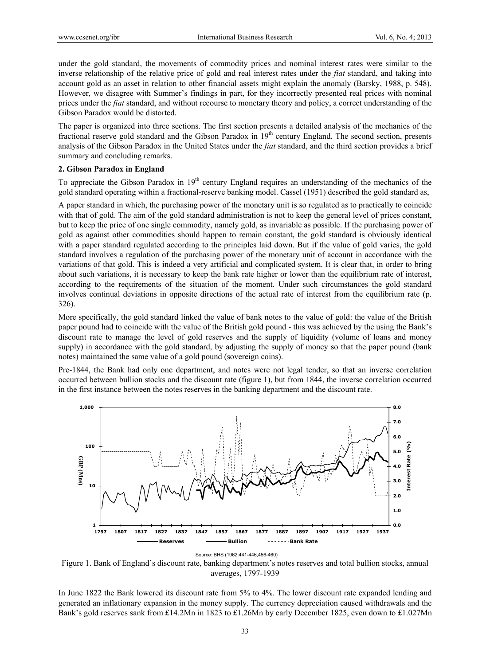under the gold standard, the movements of commodity prices and nominal interest rates were similar to the inverse relationship of the relative price of gold and real interest rates under the *fiat* standard, and taking into account gold as an asset in relation to other financial assets might explain the anomaly (Barsky, 1988, p. 548). However, we disagree with Summer's findings in part, for they incorrectly presented real prices with nominal prices under the *fiat* standard, and without recourse to monetary theory and policy, a correct understanding of the Gibson Paradox would be distorted.

The paper is organized into three sections. The first section presents a detailed analysis of the mechanics of the fractional reserve gold standard and the Gibson Paradox in 19<sup>th</sup> century England. The second section, presents analysis of the Gibson Paradox in the United States under the *fiat* standard, and the third section provides a brief summary and concluding remarks.

## **2. Gibson Paradox in England**

To appreciate the Gibson Paradox in 19<sup>th</sup> century England requires an understanding of the mechanics of the gold standard operating within a fractional-reserve banking model. Cassel (1951) described the gold standard as,

A paper standard in which, the purchasing power of the monetary unit is so regulated as to practically to coincide with that of gold. The aim of the gold standard administration is not to keep the general level of prices constant, but to keep the price of one single commodity, namely gold, as invariable as possible. If the purchasing power of gold as against other commodities should happen to remain constant, the gold standard is obviously identical with a paper standard regulated according to the principles laid down. But if the value of gold varies, the gold standard involves a regulation of the purchasing power of the monetary unit of account in accordance with the variations of that gold. This is indeed a very artificial and complicated system. It is clear that, in order to bring about such variations, it is necessary to keep the bank rate higher or lower than the equilibrium rate of interest, according to the requirements of the situation of the moment. Under such circumstances the gold standard involves continual deviations in opposite directions of the actual rate of interest from the equilibrium rate (p. 326).

More specifically, the gold standard linked the value of bank notes to the value of gold: the value of the British paper pound had to coincide with the value of the British gold pound - this was achieved by the using the Bank's discount rate to manage the level of gold reserves and the supply of liquidity (volume of loans and money supply) in accordance with the gold standard, by adjusting the supply of money so that the paper pound (bank notes) maintained the same value of a gold pound (sovereign coins).

Pre-1844, the Bank had only one department, and notes were not legal tender, so that an inverse correlation occurred between bullion stocks and the discount rate (figure 1), but from 1844, the inverse correlation occurred in the first instance between the notes reserves in the banking department and the discount rate.



Source: BHS (1962:441-446,456-460)

Figure 1. Bank of England's discount rate, banking department's notes reserves and total bullion stocks, annual averages, 1797-1939

In June 1822 the Bank lowered its discount rate from 5% to 4%. The lower discount rate expanded lending and generated an inflationary expansion in the money supply. The currency depreciation caused withdrawals and the Bank's gold reserves sank from £14.2Mn in 1823 to £1.26Mn by early December 1825, even down to £1.027Mn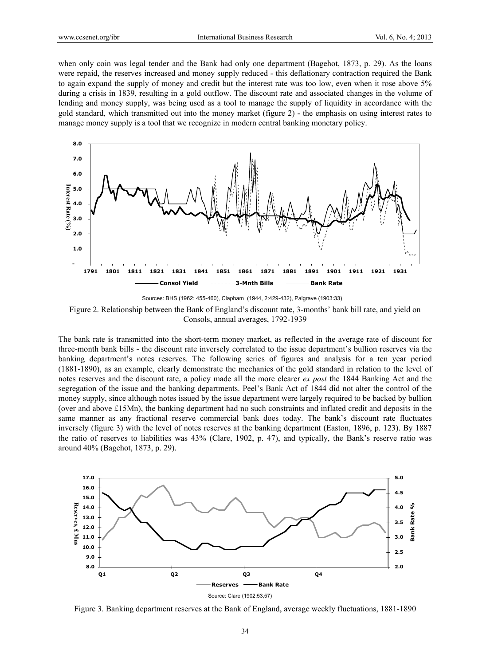when only coin was legal tender and the Bank had only one department (Bagehot, 1873, p. 29). As the loans were repaid, the reserves increased and money supply reduced - this deflationary contraction required the Bank to again expand the supply of money and credit but the interest rate was too low, even when it rose above 5% during a crisis in 1839, resulting in a gold outflow. The discount rate and associated changes in the volume of lending and money supply, was being used as a tool to manage the supply of liquidity in accordance with the gold standard, which transmitted out into the money market (figure 2) - the emphasis on using interest rates to manage money supply is a tool that we recognize in modern central banking monetary policy.



Figure 2. Relationship between the Bank of England's discount rate, 3-months' bank bill rate, and yield on Consols, annual averages, 1792-1939 Sources: BHS (1962: 455-460), Clapham (1944, 2:429-432), Palgrave (1903:33)

The bank rate is transmitted into the short-term money market, as reflected in the average rate of discount for three-month bank bills - the discount rate inversely correlated to the issue department's bullion reserves via the banking department's notes reserves. The following series of figures and analysis for a ten year period (1881-1890), as an example, clearly demonstrate the mechanics of the gold standard in relation to the level of notes reserves and the discount rate, a policy made all the more clearer *ex post* the 1844 Banking Act and the segregation of the issue and the banking departments. Peel's Bank Act of 1844 did not alter the control of the money supply, since although notes issued by the issue department were largely required to be backed by bullion (over and above £15Mn), the banking department had no such constraints and inflated credit and deposits in the same manner as any fractional reserve commercial bank does today. The bank's discount rate fluctuates inversely (figure 3) with the level of notes reserves at the banking department (Easton, 1896, p. 123). By 1887 the ratio of reserves to liabilities was 43% (Clare, 1902, p. 47), and typically, the Bank's reserve ratio was around 40% (Bagehot, 1873, p. 29).



Figure 3. Banking department reserves at the Bank of England, average weekly fluctuations, 1881-1890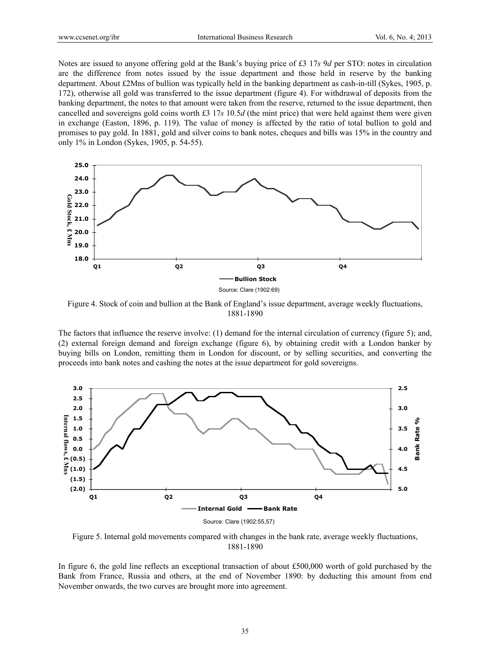Notes are issued to anyone offering gold at the Bank's buying price of £3 17*s* 9*d* per STO: notes in circulation are the difference from notes issued by the issue department and those held in reserve by the banking department. About £2Mns of bullion was typically held in the banking department as cash-in-till (Sykes, 1905, p. 172), otherwise all gold was transferred to the issue department (figure 4). For withdrawal of deposits from the banking department, the notes to that amount were taken from the reserve, returned to the issue department, then cancelled and sovereigns gold coins worth £3 17*s* 10.5*d* (the mint price) that were held against them were given in exchange (Easton, 1896, p. 119). The value of money is affected by the ratio of total bullion to gold and promises to pay gold. In 1881, gold and silver coins to bank notes, cheques and bills was 15% in the country and only 1% in London (Sykes, 1905, p. 54-55).



Figure 4. Stock of coin and bullion at the Bank of England's issue department, average weekly fluctuations, 1881-1890

The factors that influence the reserve involve: (1) demand for the internal circulation of currency (figure 5); and, (2) external foreign demand and foreign exchange (figure 6), by obtaining credit with a London banker by buying bills on London, remitting them in London for discount, or by selling securities, and converting the proceeds into bank notes and cashing the notes at the issue department for gold sovereigns.



Figure 5. Internal gold movements compared with changes in the bank rate, average weekly fluctuations, 1881-1890

In figure 6, the gold line reflects an exceptional transaction of about £500,000 worth of gold purchased by the Bank from France, Russia and others, at the end of November 1890: by deducting this amount from end November onwards, the two curves are brought more into agreement.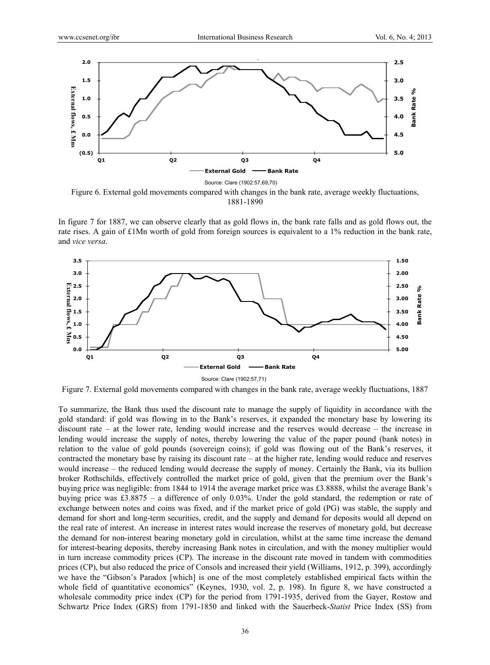

Figure 6. External gold movements compared with changes in the bank rate, average weekly fluctuations, 1881-1890

In figure 7 for 1887, we can observe clearly that as gold flows in, the bank rate falls and as gold flows out, the rate rises. A gain of £1Mn worth of gold from foreign sources is equivalent to a 1% reduction in the bank rate, and *vice versa*.



Figure 7. External gold movements compared with changes in the bank rate, average weekly fluctuations, 1887

To summarize, the Bank thus used the discount rate to manage the supply of liquidity in accordance with the gold standard: if gold was flowing in to the Bank's reserves, it expanded the monetary base by lowering its discount rate – at the lower rate, lending would increase and the reserves would decrease – the increase in lending would increase the supply of notes, thereby lowering the value of the paper pound (bank notes) in relation to the value of gold pounds (sovereign coins); if gold was flowing out of the Bank's reserves, it contracted the monetary base by raising its discount rate – at the higher rate, lending would reduce and reserves would increase – the reduced lending would decrease the supply of money. Certainly the Bank, via its bullion broker Rothschilds, effectively controlled the market price of gold, given that the premium over the Bank's buying price was negligible: from 1844 to 1914 the average market price was £3.8888, whilst the average Bank's buying price was £3.8875 – a difference of only 0.03%. Under the gold standard, the redemption or rate of exchange between notes and coins was fixed, and if the market price of gold (PG) was stable, the supply and demand for short and long-term securities, credit, and the supply and demand for deposits would all depend on the real rate of interest. An increase in interest rates would increase the reserves of monetary gold, but decrease the demand for non-interest bearing monetary gold in circulation, whilst at the same time increase the demand for interest-bearing deposits, thereby increasing Bank notes in circulation, and with the money multiplier would in turn increase commodity prices (CP). The increase in the discount rate moved in tandem with commodities prices (CP), but also reduced the price of Consols and increased their yield (Williams, 1912, p. 399), accordingly we have the "Gibson's Paradox [which] is one of the most completely established empirical facts within the whole field of quantitative economics" (Keynes, 1930, vol. 2, p. 198). In figure 8, we have constructed a wholesale commodity price index (CP) for the period from 1791-1935, derived from the Gayer, Rostow and Schwartz Price Index (GRS) from 1791-1850 and linked with the Sauerbeck-*Statist* Price Index (SS) from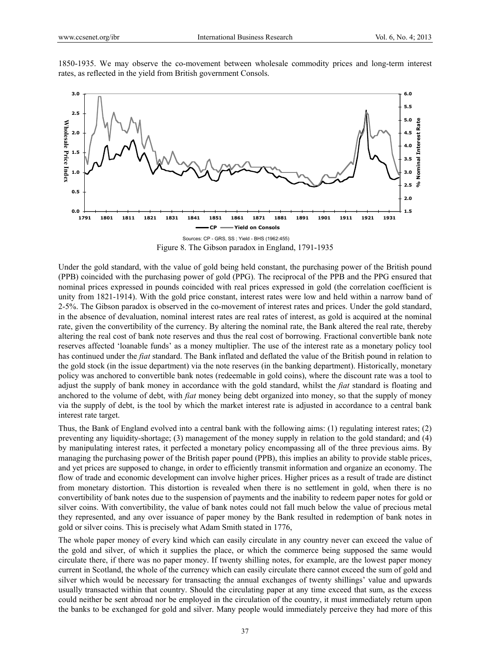1850-1935. We may observe the co-movement between wholesale commodity prices and long-term interest rates, as reflected in the yield from British government Consols.



Figure 8. The Gibson paradox in England, 1791-1935

Under the gold standard, with the value of gold being held constant, the purchasing power of the British pound (PPB) coincided with the purchasing power of gold (PPG). The reciprocal of the PPB and the PPG ensured that nominal prices expressed in pounds coincided with real prices expressed in gold (the correlation coefficient is unity from 1821-1914). With the gold price constant, interest rates were low and held within a narrow band of 2-5%. The Gibson paradox is observed in the co-movement of interest rates and prices. Under the gold standard, in the absence of devaluation, nominal interest rates are real rates of interest, as gold is acquired at the nominal rate, given the convertibility of the currency. By altering the nominal rate, the Bank altered the real rate, thereby altering the real cost of bank note reserves and thus the real cost of borrowing. Fractional convertible bank note reserves affected 'loanable funds' as a money multiplier. The use of the interest rate as a monetary policy tool has continued under the *fiat* standard. The Bank inflated and deflated the value of the British pound in relation to the gold stock (in the issue department) via the note reserves (in the banking department). Historically, monetary policy was anchored to convertible bank notes (redeemable in gold coins), where the discount rate was a tool to adjust the supply of bank money in accordance with the gold standard, whilst the *fiat* standard is floating and anchored to the volume of debt, with *fiat* money being debt organized into money, so that the supply of money via the supply of debt, is the tool by which the market interest rate is adjusted in accordance to a central bank interest rate target.

Thus, the Bank of England evolved into a central bank with the following aims: (1) regulating interest rates; (2) preventing any liquidity-shortage; (3) management of the money supply in relation to the gold standard; and (4) by manipulating interest rates, it perfected a monetary policy encompassing all of the three previous aims. By managing the purchasing power of the British paper pound (PPB), this implies an ability to provide stable prices, and yet prices are supposed to change, in order to efficiently transmit information and organize an economy. The flow of trade and economic development can involve higher prices. Higher prices as a result of trade are distinct from monetary distortion. This distortion is revealed when there is no settlement in gold, when there is no convertibility of bank notes due to the suspension of payments and the inability to redeem paper notes for gold or silver coins. With convertibility, the value of bank notes could not fall much below the value of precious metal they represented, and any over issuance of paper money by the Bank resulted in redemption of bank notes in gold or silver coins. This is precisely what Adam Smith stated in 1776,

The whole paper money of every kind which can easily circulate in any country never can exceed the value of the gold and silver, of which it supplies the place, or which the commerce being supposed the same would circulate there, if there was no paper money. If twenty shilling notes, for example, are the lowest paper money current in Scotland, the whole of the currency which can easily circulate there cannot exceed the sum of gold and silver which would be necessary for transacting the annual exchanges of twenty shillings' value and upwards usually transacted within that country. Should the circulating paper at any time exceed that sum, as the excess could neither be sent abroad nor be employed in the circulation of the country, it must immediately return upon the banks to be exchanged for gold and silver. Many people would immediately perceive they had more of this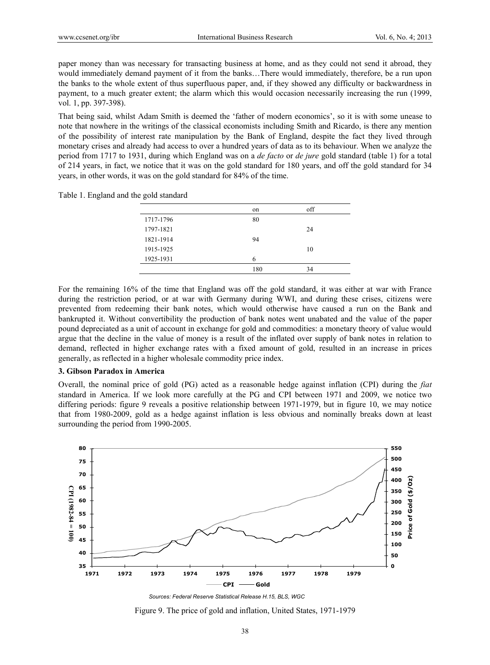paper money than was necessary for transacting business at home, and as they could not send it abroad, they would immediately demand payment of it from the banks…There would immediately, therefore, be a run upon the banks to the whole extent of thus superfluous paper, and, if they showed any difficulty or backwardness in payment, to a much greater extent; the alarm which this would occasion necessarily increasing the run (1999, vol. 1, pp. 397-398).

That being said, whilst Adam Smith is deemed the 'father of modern economics', so it is with some unease to note that nowhere in the writings of the classical economists including Smith and Ricardo, is there any mention of the possibility of interest rate manipulation by the Bank of England, despite the fact they lived through monetary crises and already had access to over a hundred years of data as to its behaviour. When we analyze the period from 1717 to 1931, during which England was on a *de facto* or *de jure* gold standard (table 1) for a total of 214 years, in fact, we notice that it was on the gold standard for 180 years, and off the gold standard for 34 years, in other words, it was on the gold standard for 84% of the time.

Table 1. England and the gold standard

|           | on  | off |
|-----------|-----|-----|
| 1717-1796 | 80  |     |
| 1797-1821 |     | 24  |
| 1821-1914 | 94  |     |
| 1915-1925 |     | 10  |
| 1925-1931 | 6   |     |
|           | 180 | 34  |

For the remaining 16% of the time that England was off the gold standard, it was either at war with France during the restriction period, or at war with Germany during WWI, and during these crises, citizens were prevented from redeeming their bank notes, which would otherwise have caused a run on the Bank and bankrupted it. Without convertibility the production of bank notes went unabated and the value of the paper pound depreciated as a unit of account in exchange for gold and commodities: a monetary theory of value would argue that the decline in the value of money is a result of the inflated over supply of bank notes in relation to demand, reflected in higher exchange rates with a fixed amount of gold, resulted in an increase in prices generally, as reflected in a higher wholesale commodity price index.

#### **3. Gibson Paradox in America**

Overall, the nominal price of gold (PG) acted as a reasonable hedge against inflation (CPI) during the *fiat* standard in America. If we look more carefully at the PG and CPI between 1971 and 2009, we notice two differing periods: figure 9 reveals a positive relationship between 1971-1979, but in figure 10, we may notice that from 1980-2009, gold as a hedge against inflation is less obvious and nominally breaks down at least surrounding the period from 1990-2005.



*Sources: Federal Reserve Statistical Release H.15, BLS, WGC*

Figure 9. The price of gold and inflation, United States, 1971-1979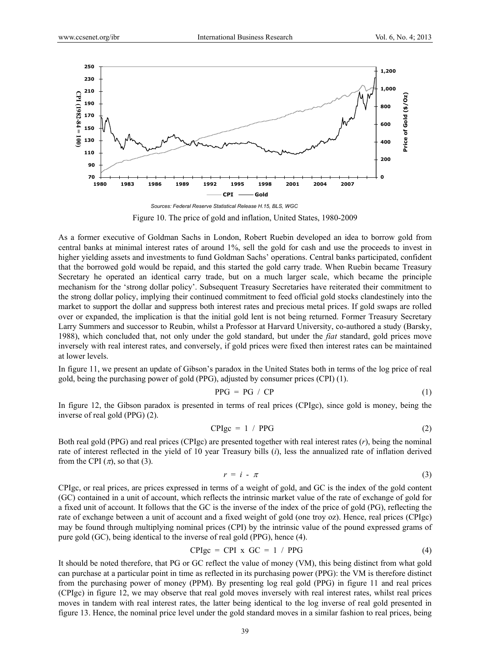

Figure 10. The price of gold and inflation, United States, 1980-2009

As a former executive of Goldman Sachs in London, Robert Ruebin developed an idea to borrow gold from central banks at minimal interest rates of around 1%, sell the gold for cash and use the proceeds to invest in higher yielding assets and investments to fund Goldman Sachs' operations. Central banks participated, confident that the borrowed gold would be repaid, and this started the gold carry trade. When Ruebin became Treasury Secretary he operated an identical carry trade, but on a much larger scale, which became the principle mechanism for the 'strong dollar policy'. Subsequent Treasury Secretaries have reiterated their commitment to the strong dollar policy, implying their continued commitment to feed official gold stocks clandestinely into the market to support the dollar and suppress both interest rates and precious metal prices. If gold swaps are rolled over or expanded, the implication is that the initial gold lent is not being returned. Former Treasury Secretary Larry Summers and successor to Reubin, whilst a Professor at Harvard University, co-authored a study (Barsky, 1988), which concluded that, not only under the gold standard, but under the *fiat* standard, gold prices move inversely with real interest rates, and conversely, if gold prices were fixed then interest rates can be maintained at lower levels.

In figure 11, we present an update of Gibson's paradox in the United States both in terms of the log price of real gold, being the purchasing power of gold (PPG), adjusted by consumer prices (CPI) (1).

$$
PPG = PG / CP
$$
 (1)

In figure 12, the Gibson paradox is presented in terms of real prices (CPIgc), since gold is money, being the inverse of real gold (PPG) (2).

$$
CPIgc = 1 / PPG \tag{2}
$$

Both real gold (PPG) and real prices (CPIgc) are presented together with real interest rates (*r*), being the nominal rate of interest reflected in the yield of 10 year Treasury bills (*i*), less the annualized rate of inflation derived from the CPI  $(\pi)$ , so that (3).

$$
r = i - \pi \tag{3}
$$

CPIgc, or real prices, are prices expressed in terms of a weight of gold, and GC is the index of the gold content (GC) contained in a unit of account, which reflects the intrinsic market value of the rate of exchange of gold for a fixed unit of account. It follows that the GC is the inverse of the index of the price of gold (PG), reflecting the rate of exchange between a unit of account and a fixed weight of gold (one troy oz). Hence, real prices (CPIgc) may be found through multiplying nominal prices (CPI) by the intrinsic value of the pound expressed grams of pure gold (GC), being identical to the inverse of real gold (PPG), hence (4).

$$
CPIgc = CPI x GC = 1 / PPG
$$
 (4)

It should be noted therefore, that PG or GC reflect the value of money (VM), this being distinct from what gold can purchase at a particular point in time as reflected in its purchasing power (PPG): the VM is therefore distinct from the purchasing power of money (PPM). By presenting log real gold (PPG) in figure 11 and real prices (CPIgc) in figure 12, we may observe that real gold moves inversely with real interest rates, whilst real prices moves in tandem with real interest rates, the latter being identical to the log inverse of real gold presented in figure 13. Hence, the nominal price level under the gold standard moves in a similar fashion to real prices, being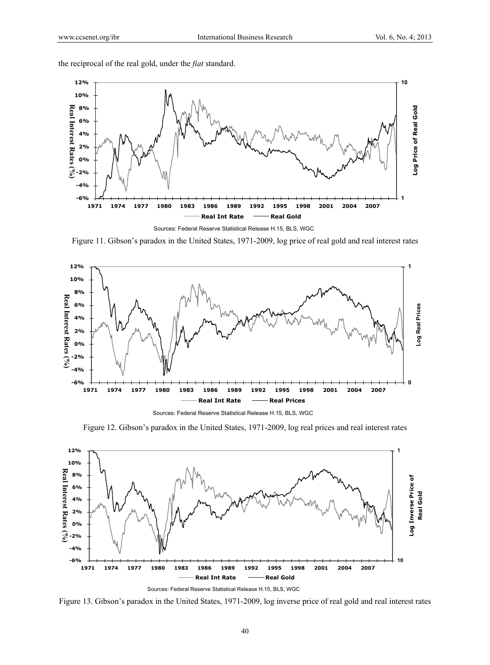the reciprocal of the real gold, under the *fiat* standard.



Figure 11. Gibson's paradox in the United States, 1971-2009, log price of real gold and real interest rates



Figure 12. Gibson's paradox in the United States, 1971-2009, log real prices and real interest rates



Figure 13. Gibson's paradox in the United States, 1971-2009, log inverse price of real gold and real interest rates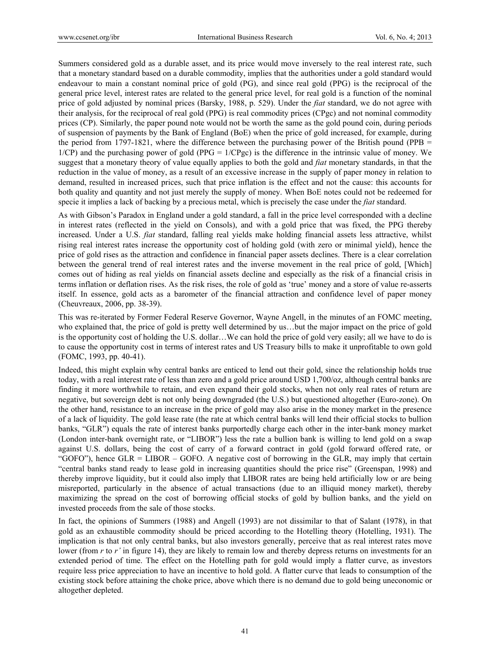Summers considered gold as a durable asset, and its price would move inversely to the real interest rate, such that a monetary standard based on a durable commodity, implies that the authorities under a gold standard would endeavour to main a constant nominal price of gold (PG), and since real gold (PPG) is the reciprocal of the general price level, interest rates are related to the general price level, for real gold is a function of the nominal price of gold adjusted by nominal prices (Barsky, 1988, p. 529). Under the *fiat* standard, we do not agree with their analysis, for the reciprocal of real gold (PPG) is real commodity prices (CPgc) and not nominal commodity prices (CP). Similarly, the paper pound note would not be worth the same as the gold pound coin, during periods of suspension of payments by the Bank of England (BoE) when the price of gold increased, for example, during the period from 1797-1821, where the difference between the purchasing power of the British pound (PPB = 1/CP) and the purchasing power of gold (PPG = 1/CPgc) is the difference in the intrinsic value of money. We suggest that a monetary theory of value equally applies to both the gold and *fiat* monetary standards, in that the reduction in the value of money, as a result of an excessive increase in the supply of paper money in relation to demand, resulted in increased prices, such that price inflation is the effect and not the cause: this accounts for both quality and quantity and not just merely the supply of money. When BoE notes could not be redeemed for specie it implies a lack of backing by a precious metal, which is precisely the case under the *fiat* standard.

As with Gibson's Paradox in England under a gold standard, a fall in the price level corresponded with a decline in interest rates (reflected in the yield on Consols), and with a gold price that was fixed, the PPG thereby increased. Under a U.S. *fiat* standard, falling real yields make holding financial assets less attractive, whilst rising real interest rates increase the opportunity cost of holding gold (with zero or minimal yield), hence the price of gold rises as the attraction and confidence in financial paper assets declines. There is a clear correlation between the general trend of real interest rates and the inverse movement in the real price of gold, [Which] comes out of hiding as real yields on financial assets decline and especially as the risk of a financial crisis in terms inflation or deflation rises. As the risk rises, the role of gold as 'true' money and a store of value re-asserts itself. In essence, gold acts as a barometer of the financial attraction and confidence level of paper money (Cheuvreaux, 2006, pp. 38-39).

This was re-iterated by Former Federal Reserve Governor, Wayne Angell, in the minutes of an FOMC meeting, who explained that, the price of gold is pretty well determined by us…but the major impact on the price of gold is the opportunity cost of holding the U.S. dollar…We can hold the price of gold very easily; all we have to do is to cause the opportunity cost in terms of interest rates and US Treasury bills to make it unprofitable to own gold (FOMC, 1993, pp. 40-41).

Indeed, this might explain why central banks are enticed to lend out their gold, since the relationship holds true today, with a real interest rate of less than zero and a gold price around USD 1,700/oz, although central banks are finding it more worthwhile to retain, and even expand their gold stocks, when not only real rates of return are negative, but sovereign debt is not only being downgraded (the U.S.) but questioned altogether (Euro-zone). On the other hand, resistance to an increase in the price of gold may also arise in the money market in the presence of a lack of liquidity. The gold lease rate (the rate at which central banks will lend their official stocks to bullion banks, "GLR") equals the rate of interest banks purportedly charge each other in the inter-bank money market (London inter-bank overnight rate, or "LIBOR") less the rate a bullion bank is willing to lend gold on a swap against U.S. dollars, being the cost of carry of a forward contract in gold (gold forward offered rate, or "GOFO"), hence GLR = LIBOR – GOFO. A negative cost of borrowing in the GLR, may imply that certain "central banks stand ready to lease gold in increasing quantities should the price rise" (Greenspan, 1998) and thereby improve liquidity, but it could also imply that LIBOR rates are being held artificially low or are being misreported, particularly in the absence of actual transactions (due to an illiquid money market), thereby maximizing the spread on the cost of borrowing official stocks of gold by bullion banks, and the yield on invested proceeds from the sale of those stocks.

In fact, the opinions of Summers (1988) and Angell (1993) are not dissimilar to that of Salant (1978), in that gold as an exhaustible commodity should be priced according to the Hotelling theory (Hotelling, 1931). The implication is that not only central banks, but also investors generally, perceive that as real interest rates move lower (from *r* to *r'* in figure 14), they are likely to remain low and thereby depress returns on investments for an extended period of time. The effect on the Hotelling path for gold would imply a flatter curve, as investors require less price appreciation to have an incentive to hold gold. A flatter curve that leads to consumption of the existing stock before attaining the choke price, above which there is no demand due to gold being uneconomic or altogether depleted.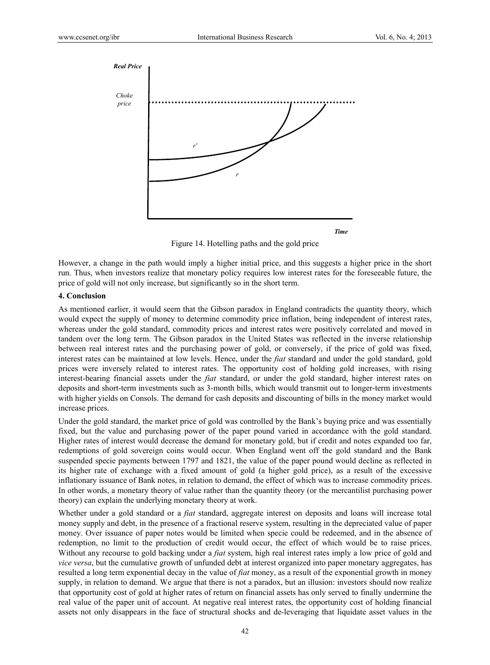

Figure 14. Hotelling paths and the gold price

However, a change in the path would imply a higher initial price, and this suggests a higher price in the short run. Thus, when investors realize that monetary policy requires low interest rates for the foreseeable future, the price of gold will not only increase, but significantly so in the short term.

### **4. Conclusion**

As mentioned earlier, it would seem that the Gibson paradox in England contradicts the quantity theory, which would expect the supply of money to determine commodity price inflation, being independent of interest rates, whereas under the gold standard, commodity prices and interest rates were positively correlated and moved in tandem over the long term. The Gibson paradox in the United States was reflected in the inverse relationship between real interest rates and the purchasing power of gold, or conversely, if the price of gold was fixed, interest rates can be maintained at low levels. Hence, under the *fiat* standard and under the gold standard, gold prices were inversely related to interest rates. The opportunity cost of holding gold increases, with rising interest-bearing financial assets under the *fiat* standard, or under the gold standard, higher interest rates on deposits and short-term investments such as 3-month bills, which would transmit out to longer-term investments with higher yields on Consols. The demand for cash deposits and discounting of bills in the money market would increase prices.

Under the gold standard, the market price of gold was controlled by the Bank's buying price and was essentially fixed, but the value and purchasing power of the paper pound varied in accordance with the gold standard. Higher rates of interest would decrease the demand for monetary gold, but if credit and notes expanded too far, redemptions of gold sovereign coins would occur. When England went off the gold standard and the Bank suspended specie payments between 1797 and 1821, the value of the paper pound would decline as reflected in its higher rate of exchange with a fixed amount of gold (a higher gold price), as a result of the excessive inflationary issuance of Bank notes, in relation to demand, the effect of which was to increase commodity prices. In other words, a monetary theory of value rather than the quantity theory (or the mercantilist purchasing power theory) can explain the underlying monetary theory at work.

Whether under a gold standard or a *fiat* standard, aggregate interest on deposits and loans will increase total money supply and debt, in the presence of a fractional reserve system, resulting in the depreciated value of paper money. Over issuance of paper notes would be limited when specie could be redeemed, and in the absence of redemption, no limit to the production of credit would occur, the effect of which would be to raise prices. Without any recourse to gold backing under a *fiat* system, high real interest rates imply a low price of gold and *vice versa*, but the cumulative growth of unfunded debt at interest organized into paper monetary aggregates, has resulted a long term exponential decay in the value of *fiat* money, as a result of the exponential growth in money supply, in relation to demand. We argue that there is not a paradox, but an illusion: investors should now realize that opportunity cost of gold at higher rates of return on financial assets has only served to finally undermine the real value of the paper unit of account. At negative real interest rates, the opportunity cost of holding financial assets not only disappears in the face of structural shocks and de-leveraging that liquidate asset values in the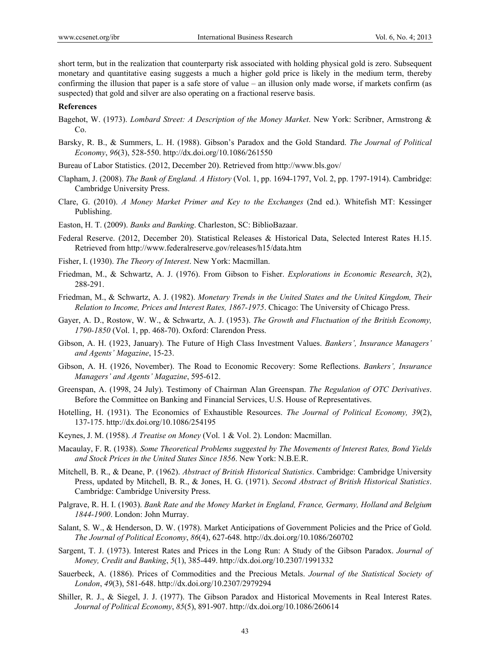short term, but in the realization that counterparty risk associated with holding physical gold is zero. Subsequent monetary and quantitative easing suggests a much a higher gold price is likely in the medium term, thereby confirming the illusion that paper is a safe store of value – an illusion only made worse, if markets confirm (as suspected) that gold and silver are also operating on a fractional reserve basis.

#### **References**

- Bagehot, W. (1973). *Lombard Street: A Description of the Money Market*. New York: Scribner, Armstrong & Co.
- Barsky, R. B., & Summers, L. H. (1988). Gibson's Paradox and the Gold Standard. *The Journal of Political Economy*, *96*(3), 528-550. http://dx.doi.org/10.1086/261550
- Bureau of Labor Statistics. (2012, December 20). Retrieved from http://www.bls.gov/
- Clapham, J. (2008). *The Bank of England. A History* (Vol. 1, pp. 1694-1797, Vol. 2, pp. 1797-1914). Cambridge: Cambridge University Press.
- Clare, G. (2010). *A Money Market Primer and Key to the Exchanges* (2nd ed.). Whitefish MT: Kessinger Publishing.
- Easton, H. T. (2009). *Banks and Banking*. Charleston, SC: BiblioBazaar.
- Federal Reserve. (2012, December 20). Statistical Releases & Historical Data, Selected Interest Rates H.15. Retrieved from http://www.federalreserve.gov/releases/h15/data.htm
- Fisher, I. (1930). *The Theory of Interest*. New York: Macmillan.
- Friedman, M., & Schwartz, A. J. (1976). From Gibson to Fisher. *Explorations in Economic Research*, *3*(2), 288-291.
- Friedman, M., & Schwartz, A. J. (1982). *Monetary Trends in the United States and the United Kingdom, Their Relation to Income, Prices and Interest Rates, 1867-1975*. Chicago: The University of Chicago Press.
- Gayer, A. D., Rostow, W. W., & Schwartz, A. J. (1953). *The Growth and Fluctuation of the British Economy, 1790-1850* (Vol. 1, pp. 468-70). Oxford: Clarendon Press.
- Gibson, A. H. (1923, January). The Future of High Class Investment Values. *Bankers', Insurance Managers' and Agents' Magazine*, 15-23.
- Gibson, A. H. (1926, November). The Road to Economic Recovery: Some Reflections. *Bankers', Insurance Managers' and Agents' Magazine*, 595-612.
- Greenspan, A. (1998, 24 July). Testimony of Chairman Alan Greenspan. *The Regulation of OTC Derivatives*. Before the Committee on Banking and Financial Services, U.S. House of Representatives.
- Hotelling, H. (1931). The Economics of Exhaustible Resources. *The Journal of Political Economy, 39*(2), 137-175. http://dx.doi.org/10.1086/254195
- Keynes, J. M. (1958). *A Treatise on Money* (Vol. 1 & Vol. 2). London: Macmillan.
- Macaulay, F. R. (1938). *Some Theoretical Problems suggested by The Movements of Interest Rates, Bond Yields and Stock Prices in the United States Since 1856*. New York: N.B.E.R.
- Mitchell, B. R., & Deane, P. (1962). *Abstract of British Historical Statistics*. Cambridge: Cambridge University Press, updated by Mitchell, B. R., & Jones, H. G. (1971). *Second Abstract of British Historical Statistics*. Cambridge: Cambridge University Press.
- Palgrave, R. H. I. (1903). *Bank Rate and the Money Market in England, France, Germany, Holland and Belgium 1844-1900*. London: John Murray.
- Salant, S. W., & Henderson, D. W. (1978). Market Anticipations of Government Policies and the Price of Gold. *The Journal of Political Economy*, *86*(4), 627-648. http://dx.doi.org/10.1086/260702
- Sargent, T. J. (1973). Interest Rates and Prices in the Long Run: A Study of the Gibson Paradox. *Journal of Money, Credit and Banking*, *5*(1), 385-449. http://dx.doi.org/10.2307/1991332
- Sauerbeck, A. (1886). Prices of Commodities and the Precious Metals. *Journal of the Statistical Society of London*, *49*(3), 581-648. http://dx.doi.org/10.2307/2979294
- Shiller, R. J., & Siegel, J. J. (1977). The Gibson Paradox and Historical Movements in Real Interest Rates. *Journal of Political Economy*, *85*(5), 891-907. http://dx.doi.org/10.1086/260614